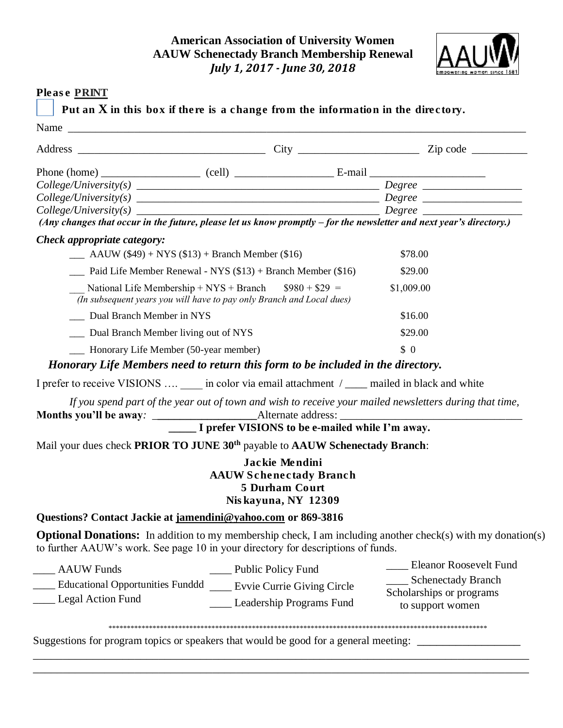## **American Association of University Women AAUW Schenectady Branch Membership Renewal** *July 1, 2017 - June 30, 2018*



## Please PRINT

Put an X in this box if there is a change from the information in the directory.

|                                                                                                    |                                                                                                                                 |                                                                                           | (Any changes that occur in the future, please let us know promptly $-$ for the newsletter and next year's directory.) |  |  |
|----------------------------------------------------------------------------------------------------|---------------------------------------------------------------------------------------------------------------------------------|-------------------------------------------------------------------------------------------|-----------------------------------------------------------------------------------------------------------------------|--|--|
| Check appropriate category:                                                                        |                                                                                                                                 |                                                                                           |                                                                                                                       |  |  |
| $\frac{\text{A}}{\text{A}}$ AAUW (\$49) + NYS (\$13) + Branch Member (\$16)                        |                                                                                                                                 | \$78.00                                                                                   |                                                                                                                       |  |  |
|                                                                                                    | Paid Life Member Renewal - NYS $(\$13)$ + Branch Member $(\$16)$                                                                |                                                                                           | \$29.00                                                                                                               |  |  |
|                                                                                                    | National Life Membership + NYS + Branch $$980 + $29 =$<br>(In subsequent years you will have to pay only Branch and Local dues) |                                                                                           | \$1,009.00                                                                                                            |  |  |
| __ Dual Branch Member in NYS                                                                       | \$16.00                                                                                                                         |                                                                                           |                                                                                                                       |  |  |
| Dual Branch Member living out of NYS                                                               |                                                                                                                                 |                                                                                           | \$29.00                                                                                                               |  |  |
| - Honorary Life Member (50-year member)                                                            |                                                                                                                                 |                                                                                           | \$0                                                                                                                   |  |  |
| Honorary Life Members need to return this form to be included in the directory.                    |                                                                                                                                 |                                                                                           |                                                                                                                       |  |  |
| I prefer to receive VISIONS  _____ in color via email attachment / _____ mailed in black and white |                                                                                                                                 |                                                                                           |                                                                                                                       |  |  |
|                                                                                                    | I prefer VISIONS to be e-mailed while I'm away.                                                                                 |                                                                                           | If you spend part of the year out of town and wish to receive your mailed newsletters during that time,               |  |  |
| Mail your dues check PRIOR TO JUNE 30 <sup>th</sup> payable to AAUW Schenectady Branch:            |                                                                                                                                 |                                                                                           |                                                                                                                       |  |  |
|                                                                                                    |                                                                                                                                 | Jackie Mendini<br><b>AAUW Schenectady Branch</b><br>5 Durham Court<br>Niskayuna, NY 12309 |                                                                                                                       |  |  |
| Questions? Contact Jackie at jamendini@yahoo.com or 869-3816                                       |                                                                                                                                 |                                                                                           |                                                                                                                       |  |  |
| to further AAUW's work. See page 10 in your directory for descriptions of funds.                   |                                                                                                                                 |                                                                                           | <b>Optional Donations:</b> In addition to my membership check, I am including another check(s) with my donation(s)    |  |  |
| <b>AAUW</b> Funds                                                                                  | ______ Public Policy Fund                                                                                                       |                                                                                           | <b>Eleanor Roosevelt Fund</b>                                                                                         |  |  |
| Educational Opportunities Funddd _____ Evvie Currie Giving Circle                                  |                                                                                                                                 |                                                                                           | __ Schenectady Branch                                                                                                 |  |  |
| Legal Action Fund                                                                                  |                                                                                                                                 | Leadership Programs Fund                                                                  | Scholarships or programs<br>to support women                                                                          |  |  |
|                                                                                                    |                                                                                                                                 |                                                                                           |                                                                                                                       |  |  |

\_\_\_\_\_\_\_\_\_\_\_\_\_\_\_\_\_\_\_\_\_\_\_\_\_\_\_\_\_\_\_\_\_\_\_\_\_\_\_\_\_\_\_\_\_\_\_\_\_\_\_\_\_\_\_\_\_\_\_\_\_\_\_\_\_\_\_\_\_\_\_\_\_\_\_\_\_\_\_\_\_\_\_